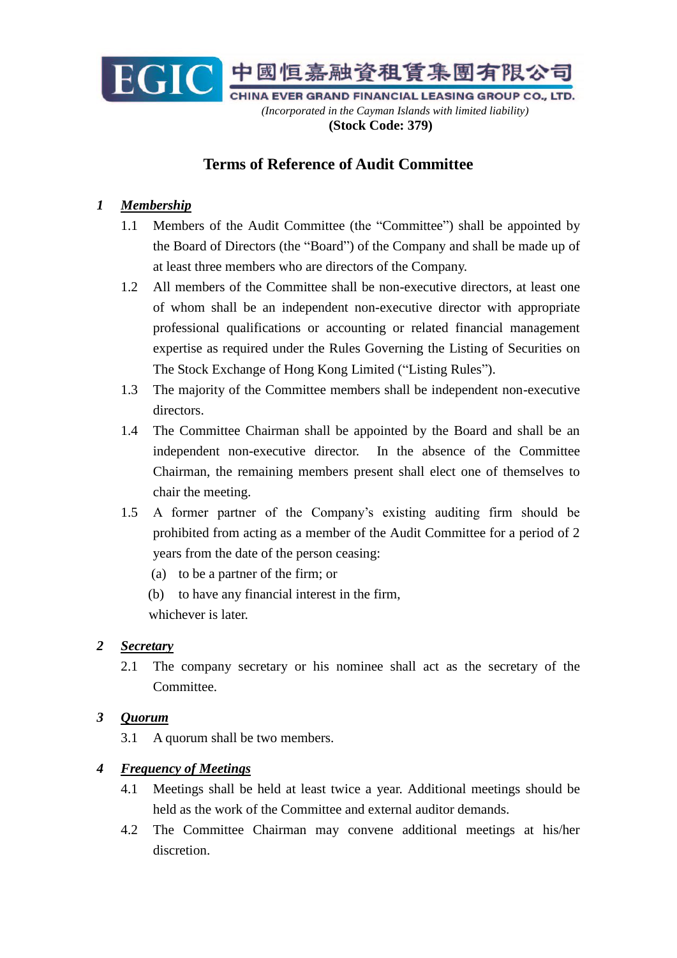

# **Terms of Reference of Audit Committee**

## *1 Membership*

- 1.1 Members of the Audit Committee (the "Committee") shall be appointed by the Board of Directors (the "Board") of the Company and shall be made up of at least three members who are directors of the Company.
- 1.2 All members of the Committee shall be non-executive directors, at least one of whom shall be an independent non-executive director with appropriate professional qualifications or accounting or related financial management expertise as required under the Rules Governing the Listing of Securities on The Stock Exchange of Hong Kong Limited ("Listing Rules").
- 1.3 The majority of the Committee members shall be independent non-executive directors.
- 1.4 The Committee Chairman shall be appointed by the Board and shall be an independent non-executive director. In the absence of the Committee Chairman, the remaining members present shall elect one of themselves to chair the meeting.
- 1.5 A former partner of the Company's existing auditing firm should be prohibited from acting as a member of the Audit Committee for a period of 2 years from the date of the person ceasing:
	- (a) to be a partner of the firm; or
	- (b) to have any financial interest in the firm,

whichever is later.

#### *2 Secretary*

2.1 The company secretary or his nominee shall act as the secretary of the Committee.

### *3 Quorum*

3.1 A quorum shall be two members.

#### *4 Frequency of Meetings*

- 4.1 Meetings shall be held at least twice a year. Additional meetings should be held as the work of the Committee and external auditor demands.
- 4.2 The Committee Chairman may convene additional meetings at his/her discretion.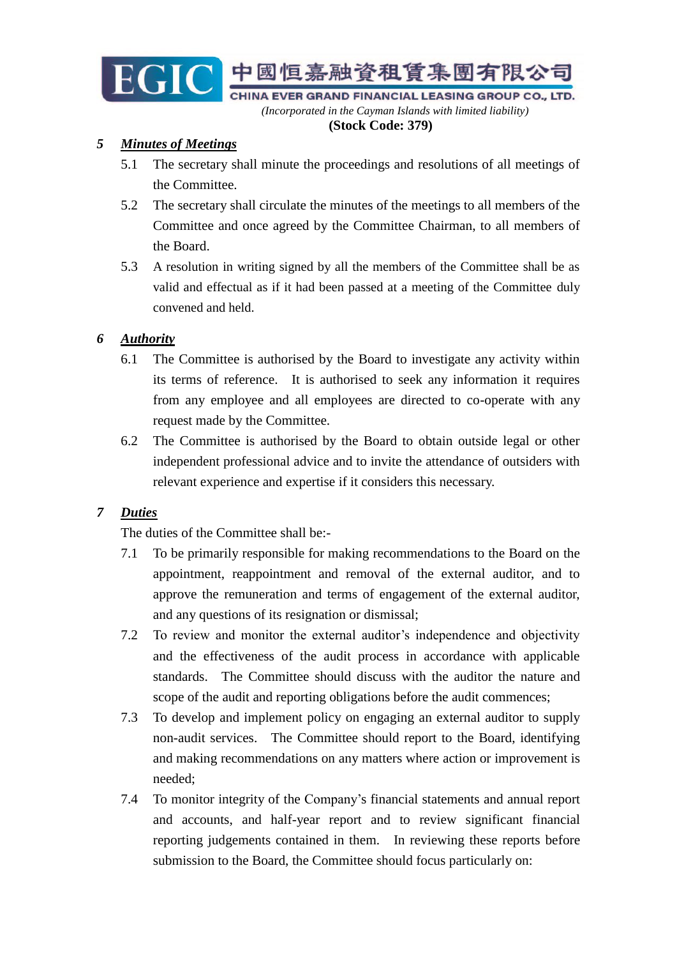

*(Incorporated in the Cayman Islands with limited liability)*  **(Stock Code: 379)**

### *5 Minutes of Meetings*

- 5.1 The secretary shall minute the proceedings and resolutions of all meetings of the Committee.
- 5.2 The secretary shall circulate the minutes of the meetings to all members of the Committee and once agreed by the Committee Chairman, to all members of the Board.
- 5.3 A resolution in writing signed by all the members of the Committee shall be as valid and effectual as if it had been passed at a meeting of the Committee duly convened and held.

### *6 Authority*

- 6.1 The Committee is authorised by the Board to investigate any activity within its terms of reference. It is authorised to seek any information it requires from any employee and all employees are directed to co-operate with any request made by the Committee.
- 6.2 The Committee is authorised by the Board to obtain outside legal or other independent professional advice and to invite the attendance of outsiders with relevant experience and expertise if it considers this necessary.

### *7 Duties*

The duties of the Committee shall be:-

- 7.1 To be primarily responsible for making recommendations to the Board on the appointment, reappointment and removal of the external auditor, and to approve the remuneration and terms of engagement of the external auditor, and any questions of its resignation or dismissal;
- 7.2 To review and monitor the external auditor's independence and objectivity and the effectiveness of the audit process in accordance with applicable standards. The Committee should discuss with the auditor the nature and scope of the audit and reporting obligations before the audit commences;
- 7.3 To develop and implement policy on engaging an external auditor to supply non-audit services. The Committee should report to the Board, identifying and making recommendations on any matters where action or improvement is needed;
- 7.4 To monitor integrity of the Company's financial statements and annual report and accounts, and half-year report and to review significant financial reporting judgements contained in them. In reviewing these reports before submission to the Board, the Committee should focus particularly on: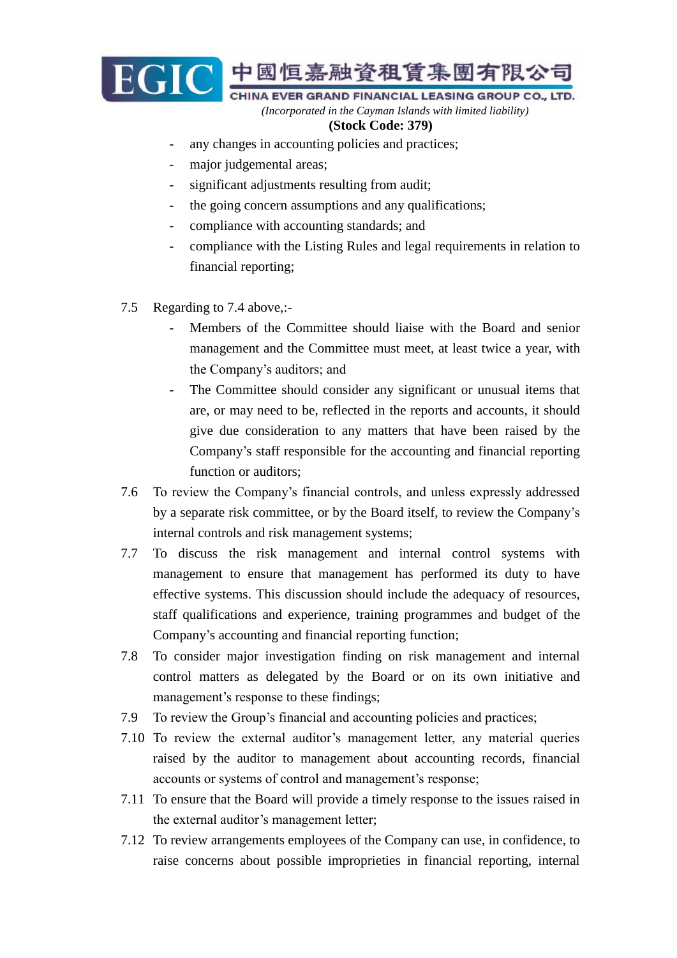

*(Incorporated in the Cayman Islands with limited liability)*

#### **(Stock Code: 379)**

- any changes in accounting policies and practices;
- major judgemental areas;
- significant adjustments resulting from audit;
- the going concern assumptions and any qualifications;
- compliance with accounting standards; and
- compliance with the Listing Rules and legal requirements in relation to financial reporting;
- 7.5 Regarding to 7.4 above,:-
	- Members of the Committee should liaise with the Board and senior management and the Committee must meet, at least twice a year, with the Company's auditors; and
	- The Committee should consider any significant or unusual items that are, or may need to be, reflected in the reports and accounts, it should give due consideration to any matters that have been raised by the Company's staff responsible for the accounting and financial reporting function or auditors;
- 7.6 To review the Company's financial controls, and unless expressly addressed by a separate risk committee, or by the Board itself, to review the Company's internal controls and risk management systems;
- 7.7 To discuss the risk management and internal control systems with management to ensure that management has performed its duty to have effective systems. This discussion should include the adequacy of resources, staff qualifications and experience, training programmes and budget of the Company's accounting and financial reporting function;
- 7.8 To consider major investigation finding on risk management and internal control matters as delegated by the Board or on its own initiative and management's response to these findings;
- 7.9 To review the Group's financial and accounting policies and practices;
- 7.10 To review the external auditor's management letter, any material queries raised by the auditor to management about accounting records, financial accounts or systems of control and management's response;
- 7.11 To ensure that the Board will provide a timely response to the issues raised in the external auditor's management letter;
- 7.12 To review arrangements employees of the Company can use, in confidence, to raise concerns about possible improprieties in financial reporting, internal